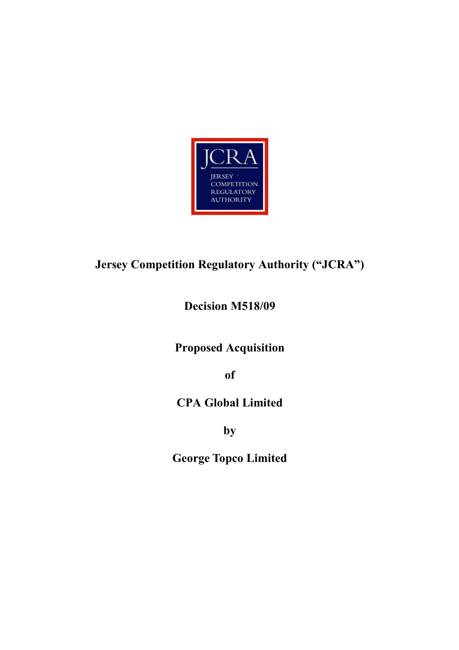

# Jersey Competition Regulatory Authority ("JCRA")

Decision M518/09

Proposed Acquisition

of

# CPA Global Limited

by

George Topco Limited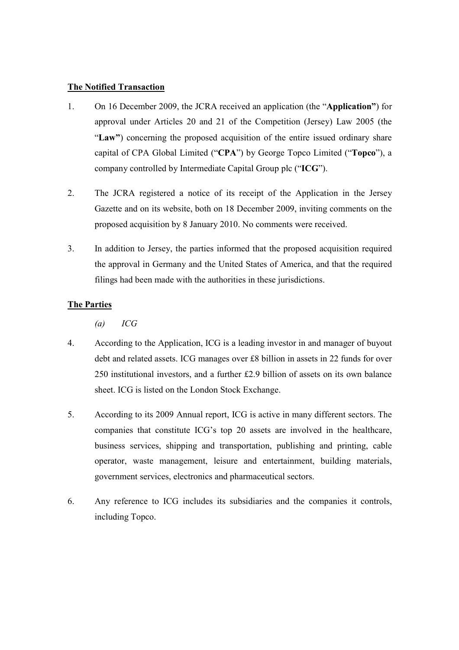# The Notified Transaction

- 1. On 16 December 2009, the JCRA received an application (the "Application") for approval under Articles 20 and 21 of the Competition (Jersey) Law 2005 (the "Law") concerning the proposed acquisition of the entire issued ordinary share capital of CPA Global Limited ("CPA") by George Topco Limited ("Topco"), a company controlled by Intermediate Capital Group plc ("ICG").
- 2. The JCRA registered a notice of its receipt of the Application in the Jersey Gazette and on its website, both on 18 December 2009, inviting comments on the proposed acquisition by 8 January 2010. No comments were received.
- 3. In addition to Jersey, the parties informed that the proposed acquisition required the approval in Germany and the United States of America, and that the required filings had been made with the authorities in these jurisdictions.

# The Parties

 $(a)$  ICG

- 4. According to the Application, ICG is a leading investor in and manager of buyout debt and related assets. ICG manages over £8 billion in assets in 22 funds for over 250 institutional investors, and a further £2.9 billion of assets on its own balance sheet. ICG is listed on the London Stock Exchange.
- 5. According to its 2009 Annual report, ICG is active in many different sectors. The companies that constitute ICG's top 20 assets are involved in the healthcare, business services, shipping and transportation, publishing and printing, cable operator, waste management, leisure and entertainment, building materials, government services, electronics and pharmaceutical sectors.
- 6. Any reference to ICG includes its subsidiaries and the companies it controls, including Topco.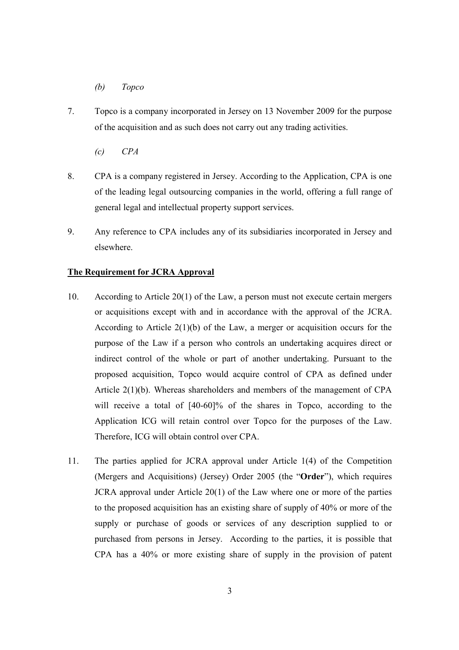#### (b) Topco

- 7. Topco is a company incorporated in Jersey on 13 November 2009 for the purpose of the acquisition and as such does not carry out any trading activities.
	- $\mathcal{C}$   $\mathcal{C}P\mathcal{A}$
- 8. CPA is a company registered in Jersey. According to the Application, CPA is one of the leading legal outsourcing companies in the world, offering a full range of general legal and intellectual property support services.
- 9. Any reference to CPA includes any of its subsidiaries incorporated in Jersey and elsewhere.

#### The Requirement for JCRA Approval

- 10. According to Article 20(1) of the Law, a person must not execute certain mergers or acquisitions except with and in accordance with the approval of the JCRA. According to Article  $2(1)(b)$  of the Law, a merger or acquisition occurs for the purpose of the Law if a person who controls an undertaking acquires direct or indirect control of the whole or part of another undertaking. Pursuant to the proposed acquisition, Topco would acquire control of CPA as defined under Article 2(1)(b). Whereas shareholders and members of the management of CPA will receive a total of  $[40-60]\%$  of the shares in Topco, according to the Application ICG will retain control over Topco for the purposes of the Law. Therefore, ICG will obtain control over CPA.
- 11. The parties applied for JCRA approval under Article 1(4) of the Competition (Mergers and Acquisitions) (Jersey) Order 2005 (the "Order"), which requires JCRA approval under Article 20(1) of the Law where one or more of the parties to the proposed acquisition has an existing share of supply of 40% or more of the supply or purchase of goods or services of any description supplied to or purchased from persons in Jersey. According to the parties, it is possible that CPA has a 40% or more existing share of supply in the provision of patent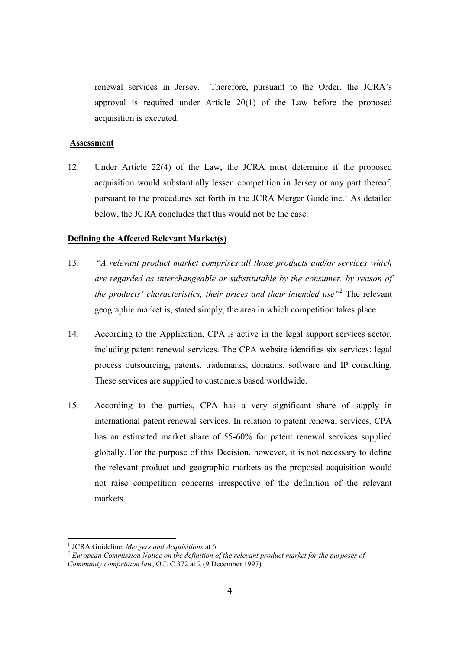renewal services in Jersey. Therefore, pursuant to the Order, the JCRA's approval is required under Article 20(1) of the Law before the proposed acquisition is executed.

#### Assessment

12. Under Article 22(4) of the Law, the JCRA must determine if the proposed acquisition would substantially lessen competition in Jersey or any part thereof, pursuant to the procedures set forth in the JCRA Merger Guideline.<sup>1</sup> As detailed below, the JCRA concludes that this would not be the case.

#### Defining the Affected Relevant Market(s)

- 13. "A relevant product market comprises all those products and/or services which are regarded as interchangeable or substitutable by the consumer, by reason of the products' characteristics, their prices and their intended use  $\mathbb{R}^2$  The relevant geographic market is, stated simply, the area in which competition takes place.
- 14. According to the Application, CPA is active in the legal support services sector, including patent renewal services. The CPA website identifies six services: legal process outsourcing, patents, trademarks, domains, software and IP consulting. These services are supplied to customers based worldwide.
- 15. According to the parties, CPA has a very significant share of supply in international patent renewal services. In relation to patent renewal services, CPA has an estimated market share of 55-60% for patent renewal services supplied globally. For the purpose of this Decision, however, it is not necessary to define the relevant product and geographic markets as the proposed acquisition would not raise competition concerns irrespective of the definition of the relevant markets.

<sup>-</sup> $<sup>1</sup>$  JCRA Guideline, Mergers and Acquisitions at 6.</sup>

<sup>&</sup>lt;sup>2</sup> European Commission Notice on the definition of the relevant product market for the purposes of Community competition law, O.J. C 372 at 2 (9 December 1997).